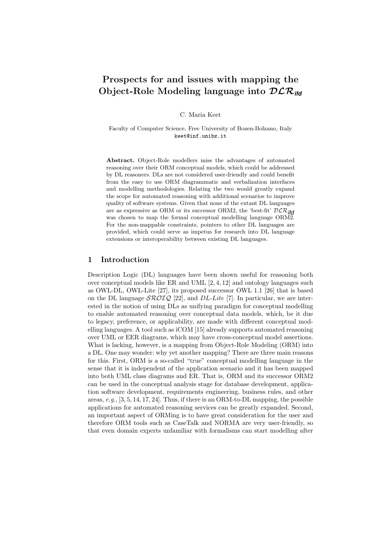# Prospects for and issues with mapping the Object-Role Modeling language into DLR*ifd*

C. Maria Keet

Faculty of Computer Science, Free University of Bozen-Bolzano, Italy keet@inf.unibz.it

Abstract. Object-Role modellers miss the advantages of automated reasoning over their ORM conceptual models, which could be addressed by DL reasoners. DLs are not considered user-friendly and could benefit from the easy to use ORM diagrammatic and verbalization interfaces and modelling methodologies. Relating the two would greatly expand the scope for automated reasoning with additional scenarios to improve quality of software systems. Given that none of the extant DL languages are as expressive as ORM or its successor ORM2, the 'best-fit' DLR*ifd* was chosen to map the formal conceptual modelling language ORM2. For the non-mappable constraints, pointers to other DL languages are provided, which could serve as impetus for research into DL language extensions or interoperability between existing DL languages.

# 1 Introduction

Description Logic (DL) languages have been shown useful for reasoning both over conceptual models like ER and UML  $[2, 4, 12]$  and ontology languages such as OWL-DL, OWL-Lite [27], its proposed successor OWL 1.1 [26] that is based on the DL language  $\mathcal{SROTQ}$  [22], and DL-Lite [7]. In particular, we are interested in the notion of using DLs as unifying paradigm for conceptual modelling to enable automated reasoning over conceptual data models, which, be it due to legacy, preference, or applicability, are made with different conceptual modelling languages. A tool such as iCOM [15] already supports automated reasoning over UML or EER diagrams, which may have cross-conceptual model assertions. What is lacking, however, is a mapping from Object-Role Modeling (ORM) into a DL. One may wonder: why yet another mapping? There are three main reasons for this. First, ORM is a so-called "true" conceptual modelling language in the sense that it is independent of the application scenario and it has been mapped into both UML class diagrams and ER. That is, ORM and its successor ORM2 can be used in the conceptual analysis stage for database development, application software development, requirements engineering, business rules, and other areas,  $e.g., [3, 5, 14, 17, 24]$ . Thus, if there is an ORM-to-DL mapping, the possible applications for automated reasoning services can be greatly expanded. Second, an important aspect of ORMing is to have great consideration for the user and therefore ORM tools such as CaseTalk and NORMA are very user-friendly, so that even domain experts unfamiliar with formalisms can start modelling after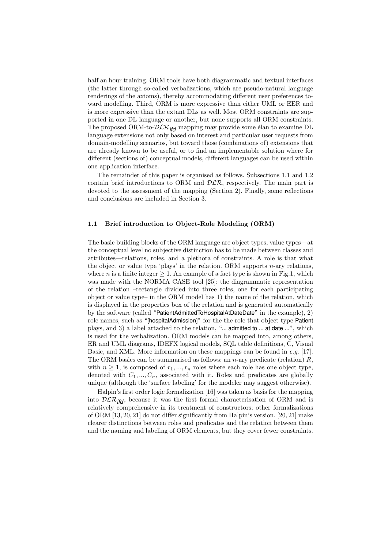half an hour training. ORM tools have both diagrammatic and textual interfaces (the latter through so-called verbalizations, which are pseudo-natural language renderings of the axioms), thereby accommodating different user preferences toward modelling. Third, ORM is more expressive than either UML or EER and is more expressive than the extant DLs as well. Most ORM constraints are supported in one DL language or another, but none supports all ORM constraints. The proposed ORM-to- $\mathcal{DLR}_{\text{iff}}$  mapping may provide some élan to examine DL language extensions not only based on interest and particular user requests from domain-modelling scenarios, but toward those (combinations of) extensions that are already known to be useful, or to find an implementable solution where for different (sections of) conceptual models, different languages can be used within one application interface.

The remainder of this paper is organised as follows. Subsections 1.1 and 1.2 contain brief introductions to ORM and  $D\mathcal{LR}$ , respectively. The main part is devoted to the assessment of the mapping (Section 2). Finally, some reflections and conclusions are included in Section 3.

#### 1.1 Brief introduction to Object-Role Modeling (ORM)

The basic building blocks of the ORM language are object types, value types—at the conceptual level no subjective distinction has to be made between classes and attributes—relations, roles, and a plethora of constraints. A role is that what the object or value type 'plays' in the relation. ORM supports  $n$ -ary relations, where n is a finite integer  $\geq 1$ . An example of a fact type is shown in Fig.1, which was made with the NORMA CASE tool [25]: the diagrammatic representation of the relation –rectangle divided into three roles, one for each participating object or value type– in the ORM model has 1) the name of the relation, which is displayed in the properties box of the relation and is generated automatically by the software (called "PatientAdmittedToHospitalAtDateDate" in the example), 2) role names, such as "[hospitalAdmission]" for the the role that object type Patient plays, and 3) a label attached to the relation, "... admitted to ... at date ...", which is used for the verbalization. ORM models can be mapped into, among others, ER and UML diagrams, IDEFX logical models, SQL table definitions, C, Visual Basic, and XML. More information on these mappings can be found in e.g. [17]. The ORM basics can be summarised as follows: an  $n$ -ary predicate (relation)  $R$ , with  $n \geq 1$ , is composed of  $r_1, ..., r_n$  roles where each role has one object type, denoted with  $C_1, ..., C_n$ , associated with it. Roles and predicates are globally unique (although the 'surface labeling' for the modeler may suggest otherwise).

Halpin's first order logic formalization [16] was taken as basis for the mapping into  $DLR_{ifd}$ , because it was the first formal characterisation of ORM and is relatively comprehensive in its treatment of constructors; other formalizations of ORM [13, 20, 21] do not differ significantly from Halpin's version. [20, 21] make clearer distinctions between roles and predicates and the relation between them and the naming and labeling of ORM elements, but they cover fewer constraints.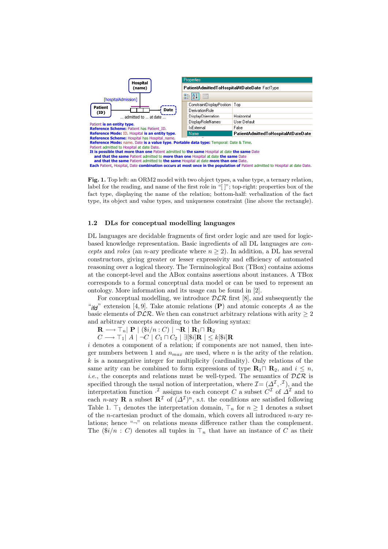

**Each** Patient, Hospital, Date **combination occurs at most once in the population of** Patient admitted to Hospital at date Date.

Fig. 1. Top left: an ORM2 model with two object types, a value type, a ternary relation, label for the reading, and name of the first role in "[ ]"; top-right: properties box of the fact type, displaying the name of the relation; bottom-half: verbalization of the fact type, its object and value types, and uniqueness constraint (line above the rectangle).

#### 1.2 DLs for conceptual modelling languages

DL languages are decidable fragments of first order logic and are used for logicbased knowledge representation. Basic ingredients of all DL languages are concepts and roles (an n-ary predicate where  $n \geq 2$ ). In addition, a DL has several constructors, giving greater or lesser expressivity and efficiency of automated reasoning over a logical theory. The Terminological Box (TBox) contains axioms at the concept-level and the ABox contains assertions about instances. A TBox corresponds to a formal conceptual data model or can be used to represent an ontology. More information and its usage can be found in [2].

For conceptual modelling, we introduce  $DLR$  first [8], and subsequently the "*ifd*" extension [4, 9]. Take atomic relations (P) and atomic concepts A as the basic elements of  $D\mathcal{LR}$ . We then can construct arbitrary relations with arity  $\geq 2$ and arbitrary concepts according to the following syntax:

 $\mathbf{R}$  →  $\top_n$ | **P** | (\$*i*/*n* : *C*) | ¬**R** | **R**<sub>1</sub> $\sqcap$  **R**<sub>2</sub>

 $C \longrightarrow \top_1 | A | \neg C | C_1 \sqcap C_2 | \exists [\$i] \mathbf{R} | \leq k[\$i] \mathbf{R}$ 

 $i$  denotes a component of a relation; if components are not named, then integer numbers between 1 and  $n_{max}$  are used, where n is the arity of the relation.  $k$  is a nonnegative integer for multiplicity (cardinality). Only relations of the same arity can be combined to form expressions of type  $\mathbf{R}_1 \cap \mathbf{R}_2$ , and  $i \leq n$ , *i.e.*, the concepts and relations must be well-typed. The semantics of  $DLR$  is specified through the usual notion of interpretation, where  $\mathcal{I} = (\Delta^{\mathcal{I}}, \cdot^{\mathcal{I}})$ , and the interpretation function  $\cdot^{\mathcal{I}}$  assigns to each concept C a subset  $C^{\mathcal{I}}$  of  $\Delta^{\mathcal{I}}$  and to each n-ary **R** a subset  $\mathbb{R}^{\mathcal{I}}$  of  $(\Delta^{\mathcal{I}})^n$ , s.t. the conditions are satisfied following Table 1.  $\top_1$  denotes the interpretation domain,  $\top_n$  for  $n \geq 1$  denotes a subset of the *n*-cartesian product of the domain, which covers all introduced *n*-ary relations; hence "¬" on relations means difference rather than the complement. The  $(\frac{6i}{n} : C)$  denotes all tuples in  $\mathsf{T}_n$  that have an instance of C as their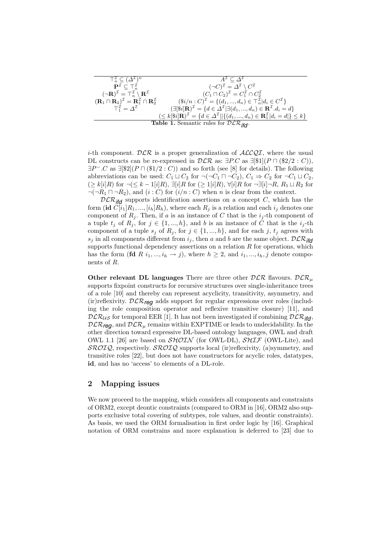

*i*-th component.  $DLR$  is a proper generalization of  $ALCQI$ , where the usual DL constructs can be re-expressed in  $D\mathcal{LR}$  as:  $\exists P.C$  as  $\exists [\$1](P \sqcap (\$2/2 : C)),$  $\exists P^- . C$  as  $\exists [\$2](P \sqcap (\$1/2 : C))$  and so forth (see [8] for details). The following abbreviations can be used:  $C_1 \sqcup C_2$  for  $\neg(\neg C_1 \sqcap \neg C_2)$ ,  $C_1 \Rightarrow C_2$  for  $\neg C_1 \sqcup C_2$ ,  $(\geq k[i]R)$  for  $\neg(\leq k-1[i]R)$ ,  $\nexists [i]R$  for  $(\geq 1[i]R)$ ,  $\nforall [i]R$  for  $\neg \exists [i]\neg R$ ,  $R_1 \sqcup R_2$  for  $\neg(\neg R_1 \sqcap \neg R_2)$ , and  $(i : C)$  for  $(i/n : C)$  when n is clear from the context.

 $DLR_{ifd}$  supports identification assertions on a concept  $C$ , which has the form (id  $C[i_1]R_1, ..., [i_h]R_h$ ), where each  $R_i$  is a relation and each  $i_j$  denotes one component of  $R_i$ . Then, if a is an instance of C that is the  $i_j$ -th component of a tuple  $t_j$  of  $R_j$ , for  $j \in \{1, ..., h\}$ , and b is an instance of C that is the  $i_j$ -th component of a tuple  $s_j$  of  $R_j$ , for  $j \in \{1, ..., h\}$ , and for each j,  $t_j$  agrees with  $s_i$  in all components different from  $i_j$ , then a and b are the same object.  $DLR_{ifd}$ supports functional dependency assertions on a relation  $R$  for operations, which has the form (**fd** R  $i_1, ..., i_h \rightarrow j$ ), where  $h \geq 2$ , and  $i_1, ..., i_h, j$  denote components of R.

Other relevant DL languages There are three other  $D\mathcal{LR}$  flavours.  $D\mathcal{LR}_\mu$ supports fixpoint constructs for recursive structures over single-inheritance trees of a role [10] and thereby can represent acyclicity, transitivity, asymmetry, and (ir)reflexivity. DLR*reg* adds support for regular expressions over roles (including the role composition operator and reflexive transitive closure) [11], and  $DLR_{US}$  for temporal EER [1]. It has not been investigated if combining  $DLR_{ifd}$ ,  $DLR_{\text{req}}$ , and  $DLR_u$  remains within EXPTIME or leads to undecidability. In the other direction toward expressive DL-based ontology languages, OWL and draft OWL 1.1 [26] are based on  $\mathcal{SHOIN}$  (for OWL-DL),  $\mathcal{SHIF}$  (OWL-Lite), and  $\mathcal{SROIQ}$ , respectively.  $\mathcal{SROIQ}$  supports local (ir)reflexivity, (a)symmetry, and transitive roles [22], but does not have constructors for acyclic roles, datatypes, id, and has no 'access' to elements of a DL-role.

# 2 Mapping issues

We now proceed to the mapping, which considers all components and constraints of ORM2, except deontic constraints (compared to ORM in [16], ORM2 also supports exclusive total covering of subtypes, role values, and deontic constraints). As basis, we used the ORM formalisation in first order logic by [16]. Graphical notation of ORM constrains and more explanation is deferred to [23] due to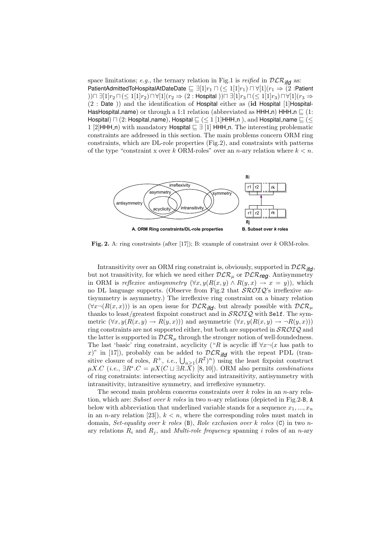space limitations; e.g., the ternary relation in Fig.1 is *reified* in  $DLR_{ifd}$  as: PatientAdmittedToHospitalAtDateDate  $\subseteq \exists [1]r_1 \sqcap (\leq 1[1]r_1) \sqcap \forall [1](r_1 \Rightarrow (2 \exists)$  :Patient )) $\Box \Box [1]_{r_2} \Box (\leq 1[1]_{r_2}) \Box \forall [1](r_2 \Rightarrow (2 : \text{Hospital})) \Box \Box [1]_{r_3} \Box (\leq 1[1]_{r_3}) \Box \forall [1](r_3 \Rightarrow$ (2 : Date )) and the identification of Hospital either as (id Hospital [1]Hospital-HasHospital\_name) or through a 1:1 relation (abbreviated as HHH\_n) HHH\_n  $\sqsubseteq$  (1: Hospital)  $\sqcap$  (2: Hospital name), Hospital  $\sqsubseteq (\leq 1$  [1]HHH n ), and Hospital name  $\sqsubseteq (\leq$ 1 [2]HHH\_n) with mandatory Hospital  $\sqsubseteq \exists$  [1] HHH\_n. The interesting problematic constraints are addressed in this section. The main problems concern ORM ring constraints, which are DL-role properties (Fig.2), and constraints with patterns of the type "constraint x over k ORM-roles" over an n-ary relation where  $k < n$ .



Fig. 2. A: ring constraints (after [17]); B: example of constraint over  $k$  ORM-roles.

Intransitivity over an ORM ring constraint is, obviously, supported in  $DCR_{ifd}$ , but not transitivity, for which we need either  $D\mathcal{LR}_\mu$  or  $D\mathcal{LR}_\textit{reg}$ . Antisymmetry in ORM is reflexive antisymmetry  $(\forall x, y(R(x, y) \land R(y, x) \rightarrow x = y))$ , which no DL language supports. (Observe from Fig.2 that  $\mathcal{SROIQ}$ 's irreflexive antisymmetry is asymmetry.) The irreflexive ring constraint on a binary relation  $(\forall x \neg (R(x,x)))$  is an open issue for  $\mathcal{DLR}_{\mathit{itd}}$ , but already possible with  $\mathcal{DLR}_{\mu}$ thanks to least/greatest fixpoint construct and in  $\mathcal{SROTQ}$  with Self. The symmetric  $(\forall x, y(R(x, y) \rightarrow R(y, x)))$  and asymmetric  $(\forall x, y(R(x, y) \rightarrow \neg R(y, x)))$ ring constraints are not supported either, but both are supported in  $\mathcal{SROIQ}$  and the latter is supported in  $\mathcal{DLR}_{\mu}$  through the stronger notion of well-foundedness. The last 'basic' ring constraint, acyclicity ("R is acyclic iff  $\forall x \neg (x \text{ has path to})$ x)" in [17]), probably can be added to  $\mathcal{DLR}_{\text{ifd}}$  with the repeat PDL (transitive closure of roles,  $R^+$ , *i.e.*,  $\bigcup_{n\geq 1} (R^{\mathcal{I}})^n$  using the least fixpoint construct  $\mu X.C$  (i.e.,  $\exists R^* . C = \mu X(C \sqcup \exists R.\overline{X})$  [8, 10]). ORM also permits combinations of ring constraints: intersecting acyclicity and intransitivity, antisymmetry with intransitivity, intransitive symmetry, and irreflexive symmetry.

The second main problem concerns constraints over  $k$  roles in an n-ary relation, which are: Subset over k roles in two n-ary relations (depicted in Fig. 2-B, A below with abbreviation that underlined variable stands for a sequence  $x_1, ..., x_n$ in an *n*-ary relation [23]),  $k < n$ , where the corresponding roles must match in domain, Set-equality over k roles  $(B)$ , Role exclusion over k roles  $(C)$  in two nary relations  $R_i$  and  $R_j$ , and *Multi-role frequency* spanning i roles of an n-ary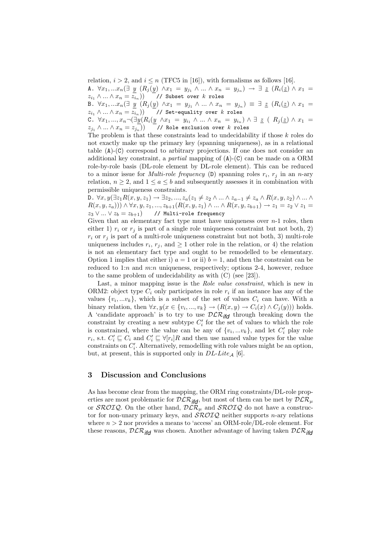relation,  $i > 2$ , and  $i \leq n$  (TFC5 in [16]), with formalisms as follows [16]. A.  $\forall x_1,...x_n \left( \exists \underline{y} (R_j(\underline{y}) \land x_1 = y_{j_1} \land ... \land x_n = y_{j_n}) \rightarrow \exists \underline{z} (R_i(\underline{z}) \land x_1 =$  $(z_{i_1}\wedge...\wedge x_n=z_{i_n}))$  // Subset over  $k$  roles

B. ∀ $x_1, ... x_n$ (∃  $\underline{y}$  ( $R_j(\underline{y})$  ∧ $x_1 = y_{j_1}$  ∧ ... ∧  $x_n = y_{j_n}$ )  $\equiv \exists \underline{z}$  ( $R_i(\underline{z})$  ∧  $x_1 =$  $(z_{i_1}\wedge...\wedge x_n=z_{i_n}))$  // Set-equality over  $k$  roles

C.  $\forall x_1, ..., x_n \neg (\exists y (R_i(y \land x_1 = y_{i_1} \land ... \land x_n = y_{i_n}) \land \exists \underline{z} (R_j(z) \land x_1 =$  $z_{j_1} \wedge ... \wedge x_n = z_{j_n})$ // Role exclusion over  $k$  roles

The problem is that these constraints lead to undecidability if those  $k$  roles do not exactly make up the primary key (spanning uniqueness), as in a relational table (A)-(C) correspond to arbitrary projections. If one does not consider an additional key constraint, a *partial* mapping of  $(A)$ - $(C)$  can be made on a ORM role-by-role basis (DL-role element by DL-role element). This can be reduced to a minor issue for *Multi-role frequency* (D) spanning roles  $r_i$ ,  $r_j$  in an *n*-ary relation,  $n \geq 2$ , and  $1 \leq a \leq b$  and subsequently assesses it in combination with permissible uniqueness constraints.

D.  $\forall x, y(\exists z_1 R(x, y, z_1) \rightarrow \exists z_2, ..., z_a(z_1 \neq z_2 \land ... \land z_{a-1} \neq z_a \land R(x, y, z_2) \land ... \land z_a)$  $R(x, y, z_a))$   $\wedge \forall x, y, z_1, ..., z_{b+1}$   $(R(x, y, z_1) \wedge ... \wedge R(x, y, z_{b+1}) \rightarrow z_1 = z_2 \vee z_1 = z_1$  $z_3 \vee ... \vee z_b = z_{b+1}$  // Multi-role frequency

Given that an elementary fact type must have uniqueness over  $n-1$  roles, then either 1)  $r_i$  or  $r_j$  is part of a single role uniqueness constraint but not both, 2)  $r_i$  or  $r_j$  is part of a multi-role uniqueness constraint but not both, 3) multi-role uniqueness includes  $r_i, r_j, \text{ and } \geq 1$  other role in the relation, or 4) the relation is not an elementary fact type and ought to be remodelled to be elementary. Option 1 implies that either i)  $a = 1$  or ii)  $b = 1$ , and then the constraint can be reduced to 1:*n* and  $m:n$  uniqueness, respectively; options 2-4, however, reduce to the same problem of undecidability as with (C) (see [23]).

Last, a minor mapping issue is the Role value constraint, which is new in ORM2: object type  $C_i$  only participates in role  $r_i$  if an instance has any of the values  $\{v_i, \ldots v_k\}$ , which is a subset of the set of values  $C_i$  can have. With a binary relation, then  $\forall x, y(x \in \{v_i, ..., v_k\} \rightarrow (R(x, y) \rightarrow C_i(x) \land C_j(y)))$  holds. A 'candidate approach' is to try to use  $DLR_{ifd}$  through breaking down the constraint by creating a new subtype  $C_i'$  for the set of values to which the role is constrained, where the value can be any of  $\{v_i, \ldots v_k\}$ , and let  $C'_i$  play role  $r_i$ , s.t.  $C'_i \sqsubseteq C_i$  and  $C'_i \sqsubseteq \forall [r_i]R$  and then use named value types for the value constraints on  $C_i'$ . Alternatively, remodelling with role values might be an option, but, at present, this is supported only in  $DL\text{-}Like_{\mathcal{A}}$  [6].

## 3 Discussion and Conclusions

As has become clear from the mapping, the ORM ring constraints/DL-role properties are most problematic for  $D\mathcal{LR}_{\mathsf{ifd}}$ , but most of them can be met by  $D\mathcal{LR}_{\mu}$ or SROIQ. On the other hand,  $D\mathcal{LR}_{\mu}$  and SROIQ do not have a constructor for non-unary primary keys, and  $\mathcal{SROTQ}$  neither supports *n*-ary relations where  $n > 2$  nor provides a means to 'access' an ORM-role/DL-role element. For these reasons, DLR*ifd* was chosen. Another advantage of having taken DLR*ifd*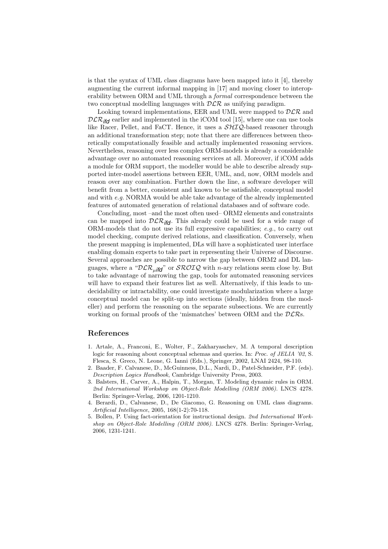is that the syntax of UML class diagrams have been mapped into it [4], thereby augmenting the current informal mapping in [17] and moving closer to interoperability between ORM and UML through a formal correspondence between the two conceptual modelling languages with  $DLR$  as unifying paradigm.

Looking toward implementations, EER and UML were mapped to  $DLR$  and  $DLR_{ifd}$  earlier and implemented in the iCOM tool [15], where one can use tools like Racer, Pellet, and FaCT. Hence, it uses a  $\mathcal{SHIQ}\text{-}\beta$ -based reasoner through an additional transformation step; note that there are differences between theoretically computationally feasible and actually implemented reasoning services. Nevertheless, reasoning over less complex ORM-models is already a considerable advantage over no automated reasoning services at all. Moreover, if iCOM adds a module for ORM support, the modeller would be able to describe already supported inter-model assertions between EER, UML, and, now, ORM models and reason over any combination. Further down the line, a software developer will benefit from a better, consistent and known to be satisfiable, conceptual model and with e.g. NORMA would be able take advantage of the already implemented features of automated generation of relational databases and of software code.

Concluding, most –and the most often used– ORM2 elements and constraints can be mapped into  $D\mathcal{LR}_{\mathsf{iff}}$ . This already could be used for a wide range of ORM-models that do not use its full expressive capabilities;  $e.g.,$  to carry out model checking, compute derived relations, and classification. Conversely, when the present mapping is implemented, DLs will have a sophisticated user interface enabling domain experts to take part in representing their Universe of Discourse. Several approaches are possible to narrow the gap between ORM2 and DL languages, where a " $\mathcal{DLR}_{\mu \textit{i} \textit{fd}}$ " or  $\mathcal{SROIQ}$  with *n*-ary relations seem close by. But to take advantage of narrowing the gap, tools for automated reasoning services will have to expand their features list as well. Alternatively, if this leads to undecidability or intractability, one could investigate modularization where a large conceptual model can be split-up into sections (ideally, hidden from the modeller) and perform the reasoning on the separate subsections. We are currently working on formal proofs of the 'mismatches' between ORM and the  $D\mathcal{L}RS$ .

## References

- 1. Artale, A., Franconi, E., Wolter, F., Zakharyaschev, M. A temporal description logic for reasoning about conceptual schemas and queries. In: Proc. of JELIA '02, S. Flesca, S. Greco, N. Leone, G. Ianni (Eds.), Springer, 2002, LNAI 2424, 98-110.
- 2. Baader, F. Calvanese, D., McGuinness, D.L., Nardi, D., Patel-Schneider, P.F. (eds). Description Logics Handbook, Cambridge University Press, 2003.
- 3. Balsters, H., Carver, A., Halpin, T., Morgan, T. Modeling dynamic rules in ORM. 2nd International Workshop on Object-Role Modelling (ORM 2006). LNCS 4278. Berlin: Springer-Verlag, 2006, 1201-1210.
- 4. Berardi, D., Calvanese, D., De Giacomo, G. Reasoning on UML class diagrams. Artificial Intelligence, 2005, 168(1-2):70-118.
- 5. Bollen, P. Using fact-orientation for instructional design. 2nd International Workshop on Object-Role Modelling (ORM 2006). LNCS 4278. Berlin: Springer-Verlag, 2006, 1231-1241.